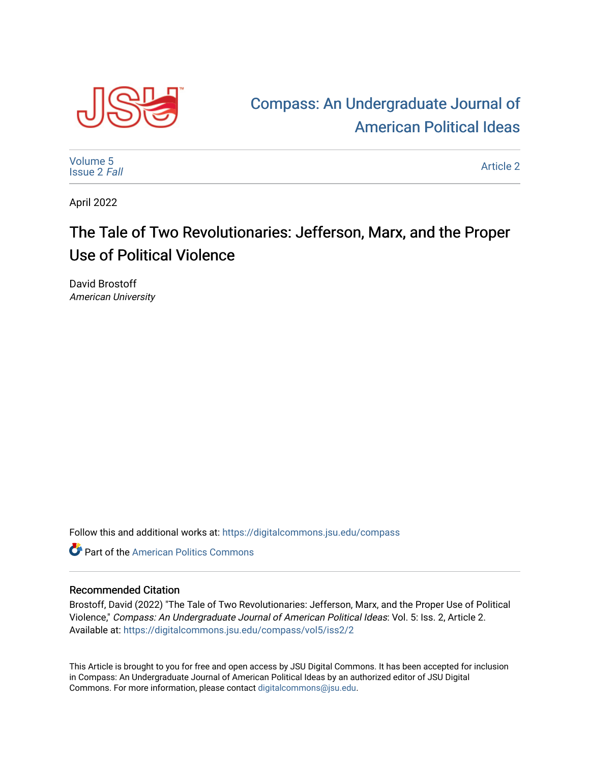

## [Compass: An Undergraduate Journal of](https://digitalcommons.jsu.edu/compass)  [American Political Ideas](https://digitalcommons.jsu.edu/compass)

[Volume 5](https://digitalcommons.jsu.edu/compass/vol5) [Issue 2](https://digitalcommons.jsu.edu/compass/vol5/iss2) Fall

[Article 2](https://digitalcommons.jsu.edu/compass/vol5/iss2/2) 

April 2022

## The Tale of Two Revolutionaries: Jefferson, Marx, and the Proper Use of Political Violence

David Brostoff American University

Follow this and additional works at: [https://digitalcommons.jsu.edu/compass](https://digitalcommons.jsu.edu/compass?utm_source=digitalcommons.jsu.edu%2Fcompass%2Fvol5%2Fiss2%2F2&utm_medium=PDF&utm_campaign=PDFCoverPages)

**C** Part of the American Politics Commons

## Recommended Citation

Brostoff, David (2022) "The Tale of Two Revolutionaries: Jefferson, Marx, and the Proper Use of Political Violence," Compass: An Undergraduate Journal of American Political Ideas: Vol. 5: Iss. 2, Article 2. Available at: [https://digitalcommons.jsu.edu/compass/vol5/iss2/2](https://digitalcommons.jsu.edu/compass/vol5/iss2/2?utm_source=digitalcommons.jsu.edu%2Fcompass%2Fvol5%2Fiss2%2F2&utm_medium=PDF&utm_campaign=PDFCoverPages)

This Article is brought to you for free and open access by JSU Digital Commons. It has been accepted for inclusion in Compass: An Undergraduate Journal of American Political Ideas by an authorized editor of JSU Digital Commons. For more information, please contact [digitalcommons@jsu.edu.](mailto:digitalcommons@jsu.edu)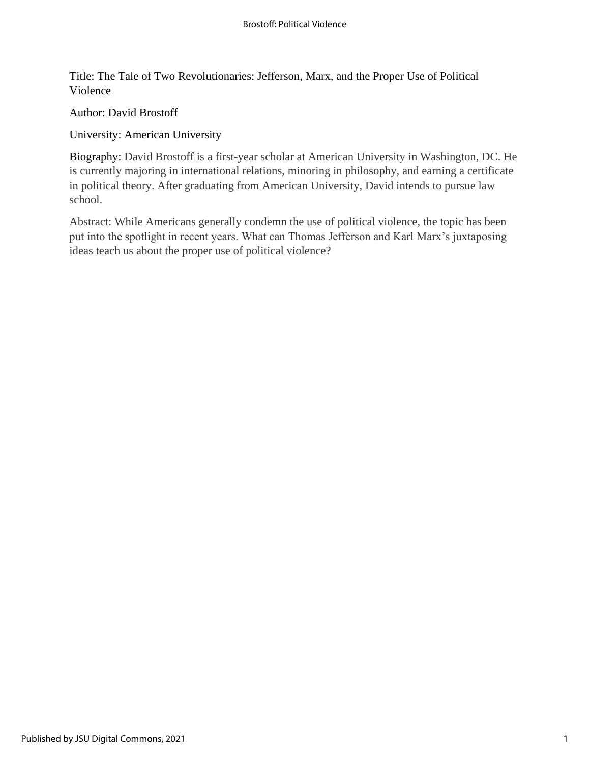Title: The Tale of Two Revolutionaries: Jefferson, Marx, and the Proper Use of Political Violence

Author: David Brostoff

University: American University

Biography: David Brostoff is a first-year scholar at American University in Washington, DC. He is currently majoring in international relations, minoring in philosophy, and earning a certificate in political theory. After graduating from American University, David intends to pursue law school.

Abstract: While Americans generally condemn the use of political violence, the topic has been put into the spotlight in recent years. What can Thomas Jefferson and Karl Marx's juxtaposing ideas teach us about the proper use of political violence?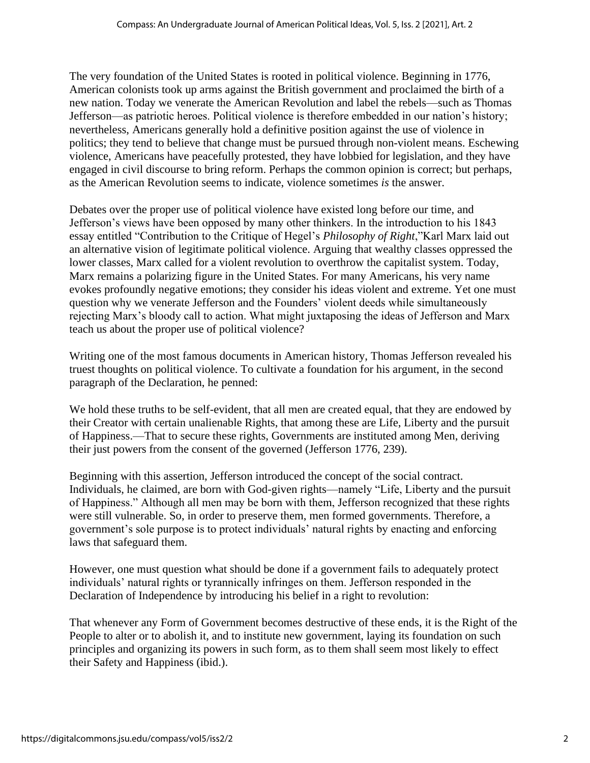The very foundation of the United States is rooted in political violence. Beginning in 1776, American colonists took up arms against the British government and proclaimed the birth of a new nation. Today we venerate the American Revolution and label the rebels—such as Thomas Jefferson—as patriotic heroes. Political violence is therefore embedded in our nation's history; nevertheless, Americans generally hold a definitive position against the use of violence in politics; they tend to believe that change must be pursued through non-violent means. Eschewing violence, Americans have peacefully protested, they have lobbied for legislation, and they have engaged in civil discourse to bring reform. Perhaps the common opinion is correct; but perhaps, as the American Revolution seems to indicate, violence sometimes *is* the answer.

Debates over the proper use of political violence have existed long before our time, and Jefferson's views have been opposed by many other thinkers. In the introduction to his 1843 essay entitled "Contribution to the Critique of Hegel's *Philosophy of Right*,"Karl Marx laid out an alternative vision of legitimate political violence. Arguing that wealthy classes oppressed the lower classes, Marx called for a violent revolution to overthrow the capitalist system. Today, Marx remains a polarizing figure in the United States. For many Americans, his very name evokes profoundly negative emotions; they consider his ideas violent and extreme. Yet one must question why we venerate Jefferson and the Founders' violent deeds while simultaneously rejecting Marx's bloody call to action. What might juxtaposing the ideas of Jefferson and Marx teach us about the proper use of political violence?

Writing one of the most famous documents in American history, Thomas Jefferson revealed his truest thoughts on political violence. To cultivate a foundation for his argument, in the second paragraph of the Declaration, he penned:

We hold these truths to be self-evident, that all men are created equal, that they are endowed by their Creator with certain unalienable Rights, that among these are Life, Liberty and the pursuit of Happiness.—That to secure these rights, Governments are instituted among Men, deriving their just powers from the consent of the governed (Jefferson 1776, 239).

Beginning with this assertion, Jefferson introduced the concept of the social contract. Individuals, he claimed, are born with God-given rights—namely "Life, Liberty and the pursuit of Happiness." Although all men may be born with them, Jefferson recognized that these rights were still vulnerable. So, in order to preserve them, men formed governments. Therefore, a government's sole purpose is to protect individuals' natural rights by enacting and enforcing laws that safeguard them.

However, one must question what should be done if a government fails to adequately protect individuals' natural rights or tyrannically infringes on them. Jefferson responded in the Declaration of Independence by introducing his belief in a right to revolution:

That whenever any Form of Government becomes destructive of these ends, it is the Right of the People to alter or to abolish it, and to institute new government, laying its foundation on such principles and organizing its powers in such form, as to them shall seem most likely to effect their Safety and Happiness (ibid.).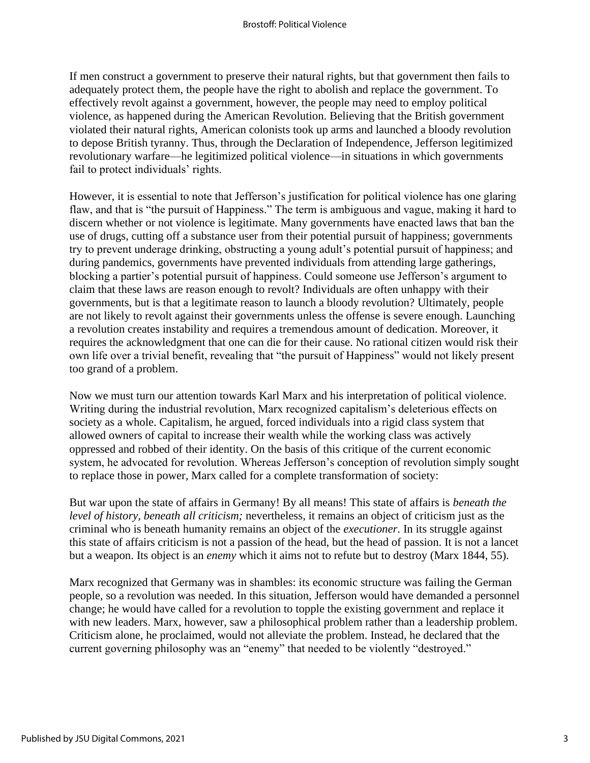If men construct a government to preserve their natural rights, but that government then fails to adequately protect them, the people have the right to abolish and replace the government. To effectively revolt against a government, however, the people may need to employ political violence, as happened during the American Revolution. Believing that the British government violated their natural rights, American colonists took up arms and launched a bloody revolution to depose British tyranny. Thus, through the Declaration of Independence, Jefferson legitimized revolutionary warfare—he legitimized political violence—in situations in which governments fail to protect individuals' rights.

However, it is essential to note that Jefferson's justification for political violence has one glaring flaw, and that is "the pursuit of Happiness." The term is ambiguous and vague, making it hard to discern whether or not violence is legitimate. Many governments have enacted laws that ban the use of drugs, cutting off a substance user from their potential pursuit of happiness; governments try to prevent underage drinking, obstructing a young adult's potential pursuit of happiness; and during pandemics, governments have prevented individuals from attending large gatherings, blocking a partier's potential pursuit of happiness. Could someone use Jefferson's argument to claim that these laws are reason enough to revolt? Individuals are often unhappy with their governments, but is that a legitimate reason to launch a bloody revolution? Ultimately, people are not likely to revolt against their governments unless the offense is severe enough. Launching a revolution creates instability and requires a tremendous amount of dedication. Moreover, it requires the acknowledgment that one can die for their cause. No rational citizen would risk their own life over a trivial benefit, revealing that "the pursuit of Happiness" would not likely present too grand of a problem.

Now we must turn our attention towards Karl Marx and his interpretation of political violence. Writing during the industrial revolution, Marx recognized capitalism's deleterious effects on society as a whole. Capitalism, he argued, forced individuals into a rigid class system that allowed owners of capital to increase their wealth while the working class was actively oppressed and robbed of their identity. On the basis of this critique of the current economic system, he advocated for revolution. Whereas Jefferson's conception of revolution simply sought to replace those in power, Marx called for a complete transformation of society:

But war upon the state of affairs in Germany! By all means! This state of affairs is *beneath the level of history, beneath all criticism;* nevertheless, it remains an object of criticism just as the criminal who is beneath humanity remains an object of the *executioner*. In its struggle against this state of affairs criticism is not a passion of the head, but the head of passion. It is not a lancet but a weapon. Its object is an *enemy* which it aims not to refute but to destroy (Marx 1844, 55).

Marx recognized that Germany was in shambles: its economic structure was failing the German people, so a revolution was needed. In this situation, Jefferson would have demanded a personnel change; he would have called for a revolution to topple the existing government and replace it with new leaders. Marx, however, saw a philosophical problem rather than a leadership problem. Criticism alone, he proclaimed, would not alleviate the problem. Instead, he declared that the current governing philosophy was an "enemy" that needed to be violently "destroyed."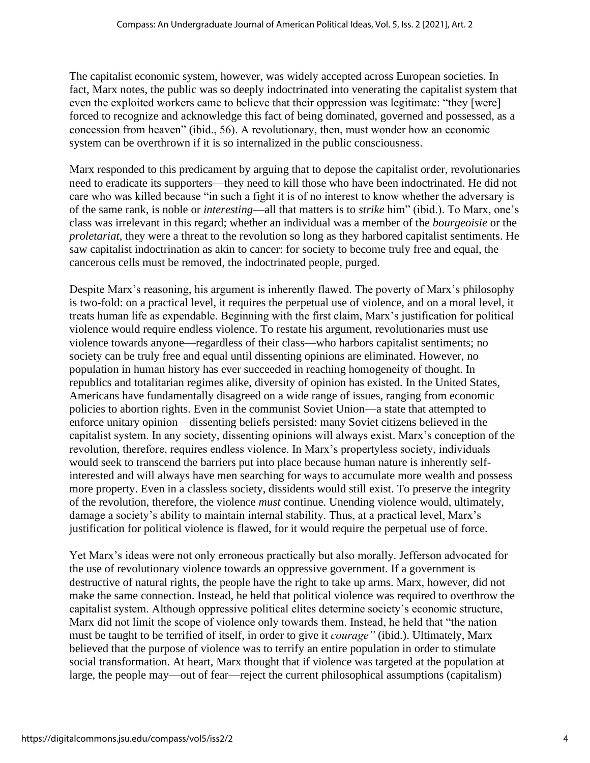The capitalist economic system, however, was widely accepted across European societies. In fact, Marx notes, the public was so deeply indoctrinated into venerating the capitalist system that even the exploited workers came to believe that their oppression was legitimate: "they [were] forced to recognize and acknowledge this fact of being dominated, governed and possessed, as a concession from heaven" (ibid., 56). A revolutionary, then, must wonder how an economic system can be overthrown if it is so internalized in the public consciousness.

Marx responded to this predicament by arguing that to depose the capitalist order, revolutionaries need to eradicate its supporters—they need to kill those who have been indoctrinated. He did not care who was killed because "in such a fight it is of no interest to know whether the adversary is of the same rank, is noble or *interesting*—all that matters is to *strike* him" (ibid.). To Marx, one's class was irrelevant in this regard; whether an individual was a member of the *bourgeoisie* or the *proletariat,* they were a threat to the revolution so long as they harbored capitalist sentiments. He saw capitalist indoctrination as akin to cancer: for society to become truly free and equal, the cancerous cells must be removed, the indoctrinated people, purged.

Despite Marx's reasoning, his argument is inherently flawed. The poverty of Marx's philosophy is two-fold: on a practical level, it requires the perpetual use of violence, and on a moral level, it treats human life as expendable. Beginning with the first claim, Marx's justification for political violence would require endless violence. To restate his argument, revolutionaries must use violence towards anyone—regardless of their class—who harbors capitalist sentiments; no society can be truly free and equal until dissenting opinions are eliminated. However, no population in human history has ever succeeded in reaching homogeneity of thought. In republics and totalitarian regimes alike, diversity of opinion has existed. In the United States, Americans have fundamentally disagreed on a wide range of issues, ranging from economic policies to abortion rights. Even in the communist Soviet Union—a state that attempted to enforce unitary opinion—dissenting beliefs persisted: many Soviet citizens believed in the capitalist system. In any society, dissenting opinions will always exist. Marx's conception of the revolution, therefore, requires endless violence. In Marx's propertyless society, individuals would seek to transcend the barriers put into place because human nature is inherently selfinterested and will always have men searching for ways to accumulate more wealth and possess more property. Even in a classless society, dissidents would still exist. To preserve the integrity of the revolution, therefore, the violence *must* continue. Unending violence would, ultimately, damage a society's ability to maintain internal stability. Thus, at a practical level, Marx's justification for political violence is flawed, for it would require the perpetual use of force.

Yet Marx's ideas were not only erroneous practically but also morally. Jefferson advocated for the use of revolutionary violence towards an oppressive government. If a government is destructive of natural rights, the people have the right to take up arms. Marx, however, did not make the same connection. Instead, he held that political violence was required to overthrow the capitalist system. Although oppressive political elites determine society's economic structure, Marx did not limit the scope of violence only towards them. Instead, he held that "the nation must be taught to be terrified of itself, in order to give it *courage"* (ibid.). Ultimately, Marx believed that the purpose of violence was to terrify an entire population in order to stimulate social transformation. At heart, Marx thought that if violence was targeted at the population at large, the people may—out of fear—reject the current philosophical assumptions (capitalism)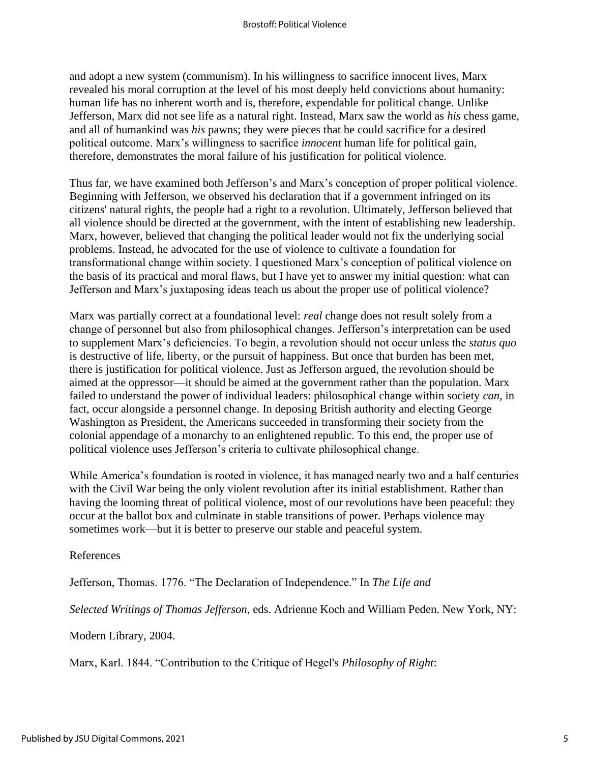and adopt a new system (communism). In his willingness to sacrifice innocent lives, Marx revealed his moral corruption at the level of his most deeply held convictions about humanity: human life has no inherent worth and is, therefore, expendable for political change. Unlike Jefferson, Marx did not see life as a natural right. Instead, Marx saw the world as *his* chess game, and all of humankind was *his* pawns; they were pieces that he could sacrifice for a desired political outcome. Marx's willingness to sacrifice *innocent* human life for political gain, therefore, demonstrates the moral failure of his justification for political violence.

Thus far, we have examined both Jefferson's and Marx's conception of proper political violence. Beginning with Jefferson, we observed his declaration that if a government infringed on its citizens' natural rights, the people had a right to a revolution. Ultimately, Jefferson believed that all violence should be directed at the government, with the intent of establishing new leadership. Marx, however, believed that changing the political leader would not fix the underlying social problems. Instead, he advocated for the use of violence to cultivate a foundation for transformational change within society. I questioned Marx's conception of political violence on the basis of its practical and moral flaws, but I have yet to answer my initial question: what can Jefferson and Marx's juxtaposing ideas teach us about the proper use of political violence?

Marx was partially correct at a foundational level: *real* change does not result solely from a change of personnel but also from philosophical changes. Jefferson's interpretation can be used to supplement Marx's deficiencies. To begin, a revolution should not occur unless the *status quo* is destructive of life, liberty, or the pursuit of happiness. But once that burden has been met, there is justification for political violence. Just as Jefferson argued, the revolution should be aimed at the oppressor—it should be aimed at the government rather than the population. Marx failed to understand the power of individual leaders: philosophical change within society *can*, in fact, occur alongside a personnel change. In deposing British authority and electing George Washington as President, the Americans succeeded in transforming their society from the colonial appendage of a monarchy to an enlightened republic. To this end, the proper use of political violence uses Jefferson's criteria to cultivate philosophical change.

While America's foundation is rooted in violence, it has managed nearly two and a half centuries with the Civil War being the only violent revolution after its initial establishment. Rather than having the looming threat of political violence, most of our revolutions have been peaceful: they occur at the ballot box and culminate in stable transitions of power. Perhaps violence may sometimes work—but it is better to preserve our stable and peaceful system.

## References

Jefferson, Thomas. 1776. "The Declaration of Independence." In *The Life and*

*Selected Writings of Thomas Jefferson*, eds. Adrienne Koch and William Peden. New York, NY:

Modern Library, 2004.

Marx, Karl. 1844. "Contribution to the Critique of Hegel's *Philosophy of Right*: